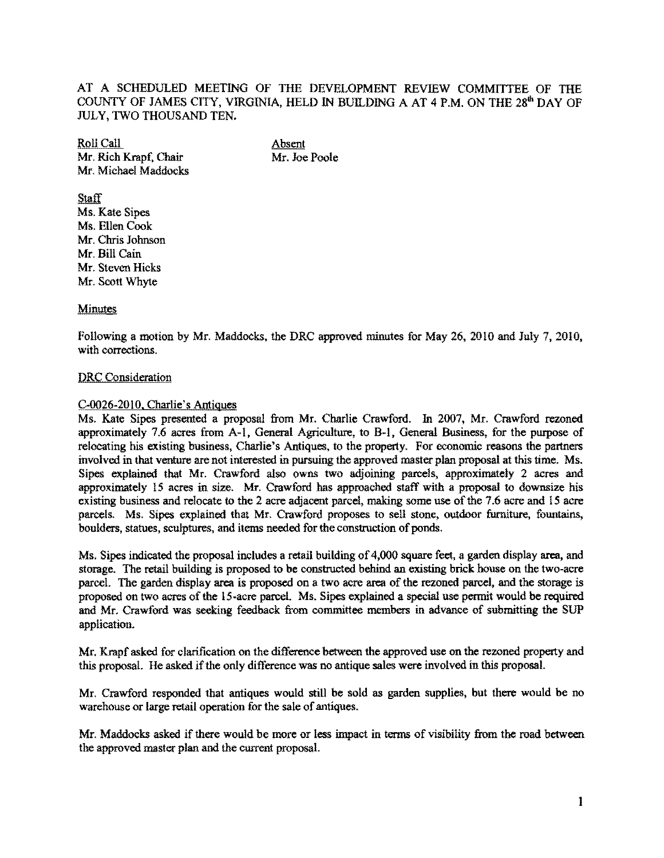AT A SCHEDULED MEETING OF THE DEVELOPMENT REVIEW COMMITTEE OF THE COUNTY OF JAMES CITY, VIRGINIA, HELD IN BUILDING A AT 4 P.M. ON THE 28'" DAY OF JULY, TWO THOUSAND TEN.

**Roll Call**<br>
Mr. Rich Krapf. Chair<br>
Mr. Joe Poole Mr. Rich Krapf. Chair Mr. Michael Maddocks

**Staff** Ms. Kate Sipes Ms. Ellen Cook Mr. Chris Johnson Mr. Bill Cain Mr. Steven Hicks Mr. Scott Whyte

## Minutes

Following a motion by Mr. Maddocks, the DRC approved minutes for May 26,2010 and July 7, 2010, with corrections.

## DRC Consideration

## C-OQ26-20JO. Charlie's Antiques

Ms. Kate Sipes presented a proposal from Mr. Charlie Crawford. In 2007, Mr. Crawford rezoned approximately 7.6 acres from A-I. General Agriculture, to B-1. General Business, for the purpose of relocating his existing business, Charlie's Antiques, to the property. For economic reasons the partners involved in that venture are not interested in pursuing the approved master plan proposal at this time. Ms. Sipes explained that Mr. Crawford also owns two adjoining parcels, approximately 2 acres and approximately 15 acres in size. Mr. Crawford has approached staff with a proposal to downsize his existing business and relocate to the 2 acre adjacent parcel, making some use of the 7.6 acre and 15 acre parcels. Ms. Sipes explained that Mr. Crawford proposes to sell stone, outdoor furniture, fountains, boulders, statues, sculptures, and items needed for the construction of ponds.

Ms. Sipes indicated the proposal includes a retail building of 4,000 square feet, a garden display area, and storage. The retail building is proposed to be constructed behind an existing brick house on the two-acre parcel. The garden display area is proposed on a two acre area of the rezoned parcel, and the storage is proposed on two acres of the IS-acre parcel. Ms. Sipes explained a special use permit would be required and Mr. Crawford was seeking feedhack from committee members in advance of submitting the SUP application.

Mr. Krapf asked for clarification on the difference between the approved use on the rezoned property and this proposal. He asked if the only difference was no antique sales were involved in this proposal.

Mr. Crawford responded that antiques would still be sold as garden supplies, but there would be no warehouse or large retail operation for the sale of antiques.

Mr. Maddocks asked if there would be more or less impact in terms of visibility from the road between the approved master plan and the current proposal.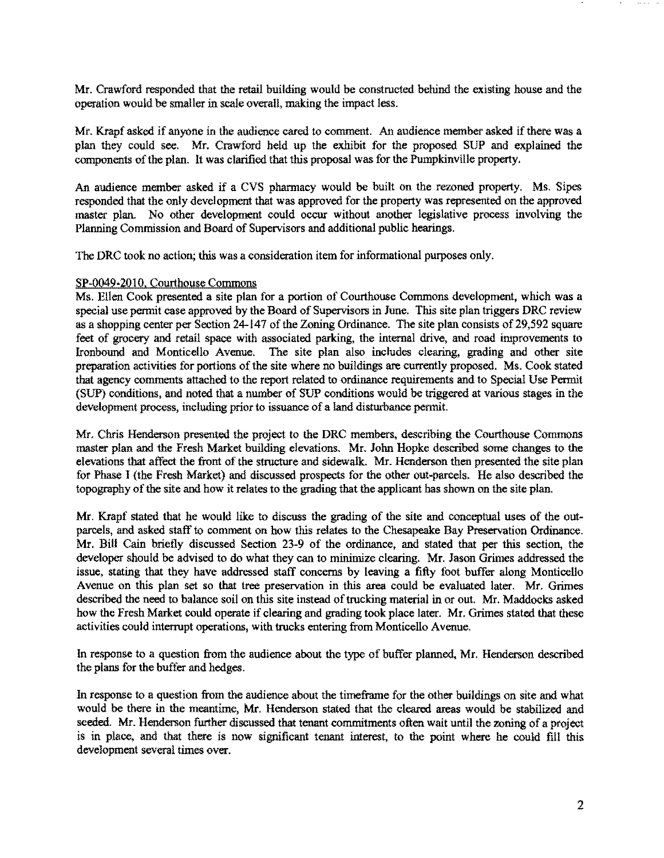Mr. Crawford responded that the retail building would be constructed behind the existing house and the operation would be smaller in scale overall, making the impact less.

Mr. Krapf asked if anyone in the audience cared to comment. An audience member asked if there was a plan they could see. Mr. Crawford held up the exhibit for the proposed SUP and explained the components of the plan. It was clarified that this proposal was for the Pumpkinville property.

An audience member asked if a CVS pharmacy would be built On the rezoned property. Ms. Sipes responded that the only development that was approved for the property was represented on the approved master plan. No other development could occur without another legislative process involving the Planning Commission and Board of Supervisors and additional public hearings.

The ORC took no action; this was a consideration item for informational purposes only.

## SP-0049·2010, Courthouse Commons

Ms. Ellen Cook presented a site plan for a portion of Courthouse Commons development, which was a special use permit case approved by the Board of Supervisors in June. This site plan triggers ORC review as a shopping center per Section 24-147 of the Zoning Ordinance. The site plan consists of 29,592 square feet of grocery and retail space with associated parking, the internal drive, and road improvements to Ironbound and Monticello Avenue. The site plan also includes clearing, grading and other site preparation activities for portions of the site where no buildings are currently proposed. Ms. Cook stated that agency comments attached to the report related to ordinance requirements and to Special Use Permit (SUP) conditions, and noted that a number of SUP conditions would be triggered at various stages in the development process, including prior to issuance of a land disturbance permit.

Mr. Chris Henderson presented the project to the ORC members, describing the Courthouse Commons master plan and the Fresh Market building elevations. Mr. John Hopke described some changes to the elevations that affect the front of the structure and sidewalk. Mr. Henderson then presented the site plan for Phase I (the Fresh Market) and discussed prospects for the other out-parcels. He also described the topography of the site and how it relates to the grading that the applicant has shown on the site pian.

Mr, Krapf stated that he would like to discuss the grading of the site and conceptual uses of the outparcels, and asked staff to comment on how this relates to the Chesapeake Bay Preservation Ordinance. Mr. Bill Cain briefly discussed Section 23-9 of the ordinance, and stated that per this section, the developer should be advised to do what they can to minimize clearing. Mr. Jason Grimes addressed the issue, stating that they have addressed staff concerns by leaving a fifty foot buffer along Monticello Avenue on this plan set so that tree preservation in this area could be evaluated later. Mr. Grimes described the need to balance soil on this site instead of trucking material in or out. Mr. Maddocks asked how the Fresh Market could operate if clearing and grading took place later. Mr. Grimes stated that these activities could interrupt operations, with trucks entering from Monticello Avenue.

In response to a question from the audience about the type of buffer planned, Mr. Henderson described the plans for the buffer and hedges.

In response to a question from the audience about the timeframe for the other buildings on site and what would be there in the meantime, Mr. Henderson stated that the cleared areas would be stabilized and seeded. Mr. Henderson further discussed that tenant commitments often wait until the zoning of a project is in place, and that there is now significant tenant interest, to the point where he could fill this development several times over.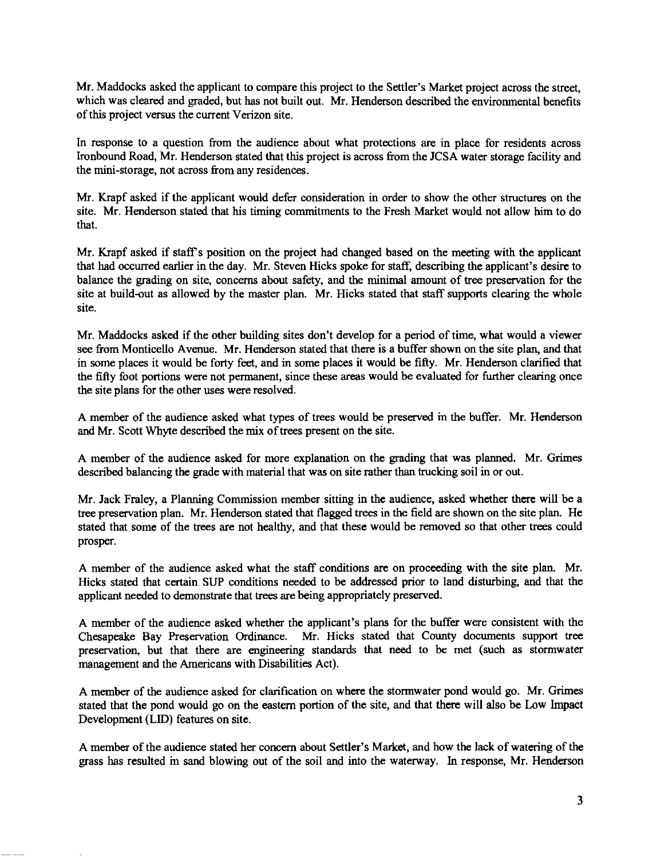Mr. Maddocks asked the applicant to compare this project to the Settler's Market project across the street, which was cleared and graded, but has not built out. Mr. Henderson described the environmental benefits of this project versus the current Verizon site.

In response to a question from the audience about what protections are in place for residents across Ironbound Road, Mr. Henderson stated that this project is across from the JCSA water storage facility and the mini-storage, not across from any residences.

Mr. Krapf asked if the applicant would defer consideration in order to show the other structures on the site. Mr. Henderson stated that his timing commitments to the Fresh Market would not allow him to do that.

Mr. Krapf asked if staff's position on the project had changed based on the meeting with the applicant that had occurred earlier in the day. Mr. Steven Hicks spoke for staff, describing the applicant's desire to balance the grading on site, concerns about safety, and the minimal amount of tree preservation for the site at build-out as allowed by the master plan. Mr. Hicks stated that staff supports clearing the whole site.

Mr. Maddocks asked if the other building sites don't develop for a period of time, what would a viewer see from Monticello Avenue. Mr. Henderson stated that there is a buffer shown on the site plan, and that in some places it would be forty feet, and in some places it would be fifty. Mr. Henderson clarified that the fifty foot portions were not permanent, since these areas would be evaluated for further clearing once the site plans for the other uses were resolved.

A member of the audience asked what types of trees would be preserved in the buffer. Mr. Henderson and Mr. Scott Whyte described the mix of trees present on the site.

A member of the audience asked for more explanation on the grading that was planned. Mr. Grimes described balancing the grade with material that was on site rather than trucking soil in or out.

Mr. Jack Fraley, a Planning Commission member sitting in the audience, asked whether there will be a tree preservation plan. Mr. Henderson stated that flagged trees in the field are shown on the site plan. He stated that some of the trees are not healthy, and that these would be removed so that other trees could prosper.

A member of the audience asked what the staff conditions are on proceeding with the site plan. Mr. Hicks stated that certain SUP conditions needed to be addressed prior to land disturbing, and that the applicant needed to demonstrate that trees are being appropriately preserved.

A member of the audience asked whether the applicant's plans for the buffer were consistent with the Chesapeake Bay Preservation Ordinance. Mr. Hicks stated that County documents support tree preservation, but that there are engineering standards that need to be met (such as stormwater management and the Americans with Disabilities Act).

A member of the audience asked for clarification on where the stormwater pond would go. Mr. Grimes stated that the pond would go on the eastern portion of the site, and that there will also be Low Impact Development (LID) features on site.

A member of the audience stated her concern about Settler's Market, and how the lack of watering of the grass has resulted in sand blowing out of the soil and into the waterway. In response, Mr. Henderson